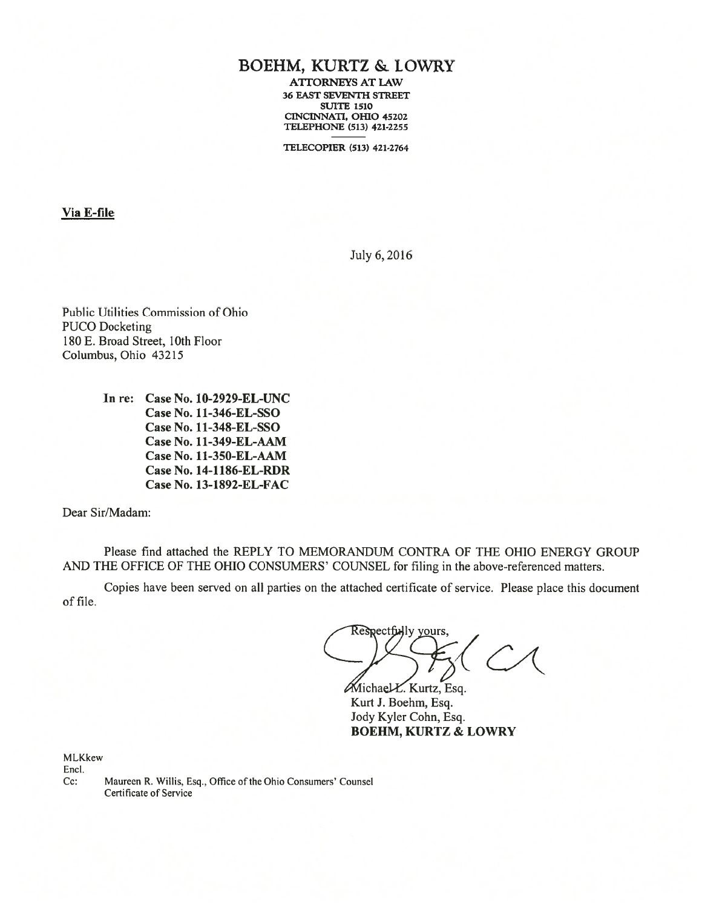# BOEHM, KURTZ & LOWRY

ATTORNEYS AT LAW 36 EAST SEVENTH STREET SUiTE 1510 CINCINNATI, OHIO 45202 TELEPHONE (513) 421-2255

TELECOPIER (513) 421-2764

Via E-file

July 6,2016

Public Utilities Commission of Ohio PUCO Docketing 180 E. Broad Street, 10th floor Columbus, Ohio 43215

> In re: Case No. 10-2929-EL-UNC Case No. 11-346-EL-SSO Case No. 11-348-EL-SSO Case No. 11-349-EL-AAM Case No. l1-350-EL-AAM Case No. 14-1l\$6-EL-RDR Case No. 13-1892-EL-FAC

Dear Sir/Madam:

Please find attached the REPLY TO MEMORANDUM CONTRA OF THE OHIO ENERGY GROUP AND THE OFFICE OF THE OHIO CONSUMERS' COUNSEL for filing in the above-referenced matters.

Copies have been served on all parties on the attached certificate of service. Please place this document of file.

Respectfully yours,

 $M$ ichael $K$ . Kurtz, Esq. Kurt J. Boehm, Esq. Jody Kyler Cohn, Esq. BOEHM, KURTZ & LOWRY

MLKkew Encl.

Cc: Maureen R. Willis, Esq., Office of the Ohio Consumers' Counsel Certificate of Service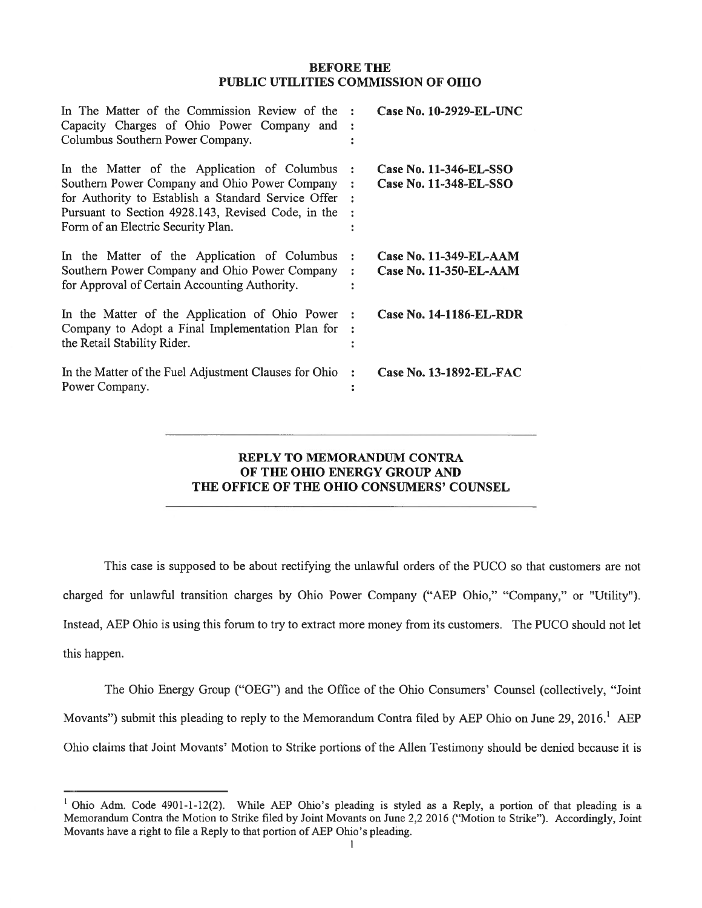### BEFORE THE PUBLIC UTILITIES COMMISSION Of OHIO

| In The Matter of the Commission Review of the :<br>Capacity Charges of Ohio Power Company and :<br>Columbus Southern Power Company.                                                                                                              |                                | Case No. 10-2929-EL-UNC                                 |
|--------------------------------------------------------------------------------------------------------------------------------------------------------------------------------------------------------------------------------------------------|--------------------------------|---------------------------------------------------------|
| In the Matter of the Application of Columbus<br>Southern Power Company and Ohio Power Company<br>for Authority to Establish a Standard Service Offer<br>Pursuant to Section 4928.143, Revised Code, in the<br>Form of an Electric Security Plan. | $\mathbf{r}$<br>$\ddot{\cdot}$ | Case No. 11-346-EL-SSO<br>Case No. 11-348-EL-SSO        |
| In the Matter of the Application of Columbus<br>Southern Power Company and Ohio Power Company<br>for Approval of Certain Accounting Authority.                                                                                                   | ÷<br>$\ddot{\phantom{a}}$      | <b>Case No. 11-349-EL-AAM</b><br>Case No. 11-350-EL-AAM |
| In the Matter of the Application of Ohio Power<br>Company to Adopt a Final Implementation Plan for<br>the Retail Stability Rider.                                                                                                                | $\cdot$                        | Case No. 14-1186-EL-RDR                                 |
| In the Matter of the Fuel Adjustment Clauses for Ohio<br>Power Company.                                                                                                                                                                          | $\ddot{\cdot}$                 | Case No. 13-1892-EL-FAC                                 |

## REPLY TO MEMORANDUM CONTRA OF THE OHIO ENERGY GROUP AND THE OFFICE OF THE OHIO CONSUMERS' COUNSEL

This case is supposed to be about rectifying the unlawful orders of the PUCO so that customers are not charged for unlawful transition charges by Ohio Power Company ("AEP Ohio," "Company," or 'Utility"). Instead, AEP Ohio is using this forum to try to extract more money from its customers. The PUCO should not let this happen.

The Ohio Energy Group ("OEG") and the Office of the Ohio Consumers' Counsel (collectively, "Joint Movants") submit this pleading to reply to the Memorandum Contra filed by AEP Ohio on June 29, 2016.' AEP Ohio claims that Joint Movants' Motion to Strike portions of the Allen Testimony should be denied because it is

<sup>&</sup>lt;sup>1</sup> Ohio Adm. Code 4901-1-12(2). While AEP Ohio's pleading is styled as a Reply, a portion of that pleading is a Memorandum Contra the Motion to Strike filed by Joint Movants on June 2,2 2016 ("Motion to Strike"). Accordingly, Joint Movants have <sup>a</sup> right to file <sup>a</sup> Reply to that portion of AEP Ohio's pleading.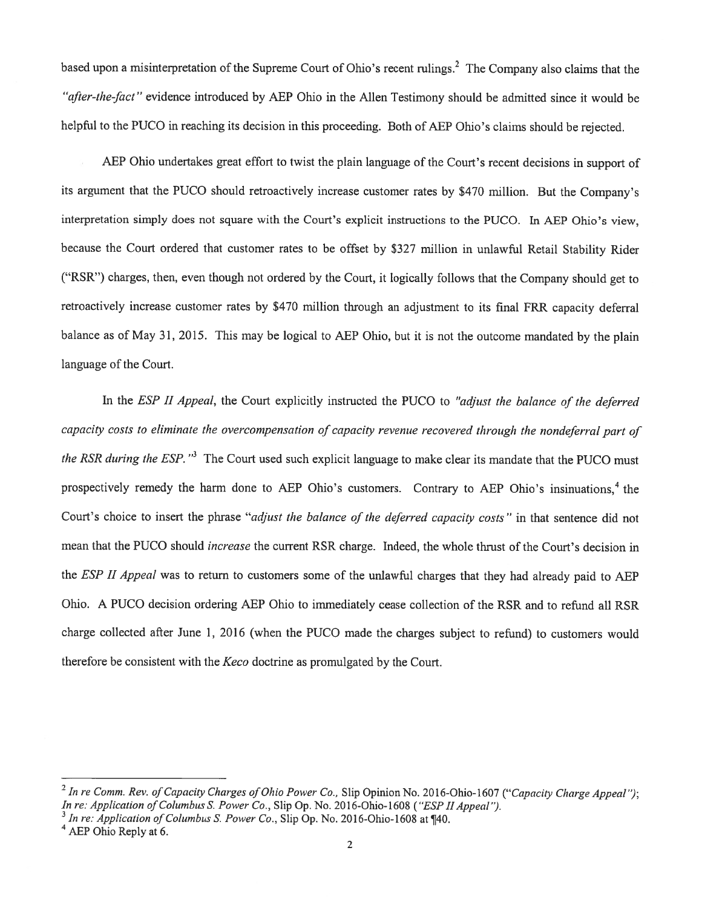based upon a misinterpretation of the Supreme Court of Ohio's recent rulings.<sup>2</sup> The Company also claims that the "after-the-fact" evidence introduced by AEP Ohio in the Allen Testimony should be admitted since it would be helpful to the PUCO in reaching its decision in this proceeding. Both of AEP Ohio's claims should be rejected.

AEP Ohio undertakes grea<sup>t</sup> effort to twist the <sup>p</sup>lain language of the Court's recent decisions in suppor<sup>t</sup> of its argumen<sup>t</sup> that the PUCO should retroactively increase customer rates by \$470 million. But the Company's interpretation simply does not square with the Court's explicit instructions to the PUCO. In AEP Ohio's view, because the Court ordered that customer rates to be offset by \$327 million in unlawful Retail Stability Rider ("RSR") charges, then, even though not ordered by the Court, it logically follows that the Company should ge<sup>t</sup> to retroactively increase customer rates by \$470 million through an adjustment to its final FRR capacity deferral balance as of May 31, 2015. This may be logical to AEP Ohio, but it is not the outcome mandated by the <sup>p</sup>lain language of the Court.

In the ESP II Appeal, the Court explicitly instructed the PUCO to "adjust the balance of the deferred capacity costs to eliminate the overcompensation of capacity revenue recovered through the nondeferral par<sup>t</sup> of the RSR during the ESP.  $"$ <sup>3</sup> The Court used such explicit language to make clear its mandate that the PUCO must prospectively remedy the harm done to AEP Ohio's customers. Contrary to AEP Ohio's insinuations.<sup>4</sup> the Court's choice to insert the phrase "adjust the balance of the deferred capacity costs" in that sentence did not mean that the PUCO should increase the current RSR charge. Indeed, the whole thrust of the Court's decision in the *ESP II Appeal* was to return to customers some of the unlawful charges that they had already paid to AEP Ohio. A PUCO decision ordering AEP Ohio to immediately cease collection of the RSR and to refund all RSR charge collected after June 1, <sup>2016</sup> (when the PUCO made the charges subject to refund) to customers would therefore be consistent with the Keco doctrine as promulgated by the Court.

<sup>&</sup>lt;sup>2</sup> In re Comm. Rev. of Capacity Charges of Ohio Power Co., Slip Opinion No. 2016-Ohio-1607 ("Capacity Charge Appeal"); In re: Application of Columbus S. Power Co., Slip Op. No. 2016-Ohio-1608 ("ESP II Appeal").

 $\frac{1}{3}$  In re: Application of Columbus S. Power Co., Slip Op. No. 2016-Ohio-1608 at ¶40.

<sup>&</sup>lt;sup>4</sup> AEP Ohio Reply at 6.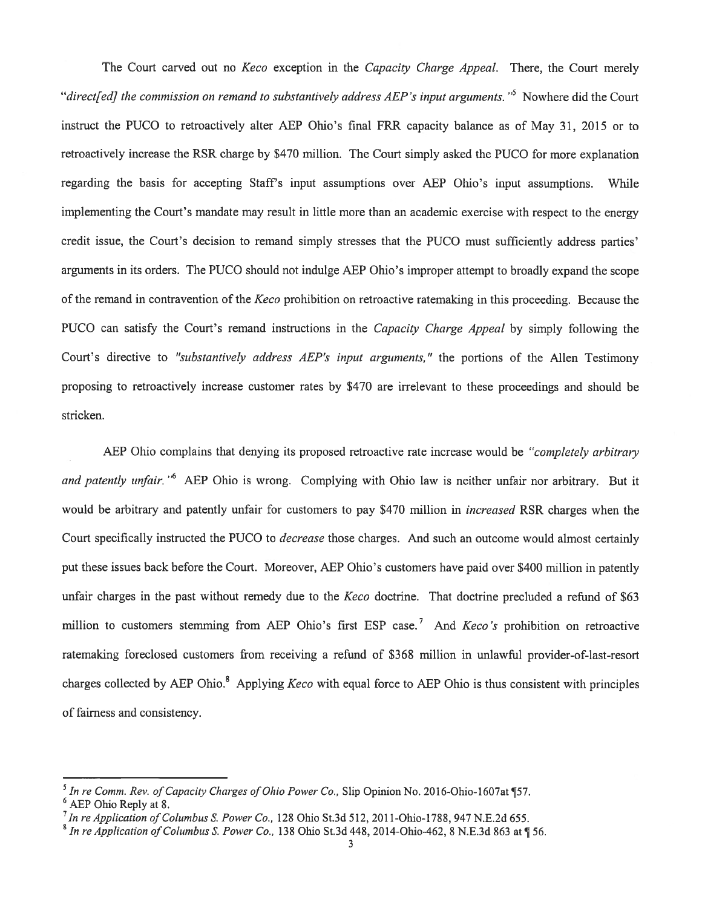The Court carved out no *Keco* exception in the *Capacity Charge Appeal*. There, the Court merely "direct[ed] the commission on remand to substantively address AEP's input arguments."<sup>5</sup> Nowhere did the Court instruct the PUCO to retroactively alter AEP Ohio's final FRR capacity balance as of May 31, <sup>2015</sup> or to retroactively increase the RSR charge by \$470 million. The Court simply asked the PUCO for more explanation regarding the basis for accepting Staff's input assumptions over AEP Ohio's input assumptions. While implementing the Court's mandate may result in little more than an academic exercise with respec<sup>t</sup> to the energy credit issue, the Court's decision to remand simply stresses that the PUCO must sufficiently address parties' arguments in its orders. The PUCO should not indulge AEP Ohio's improper attempt to broadly expand the scope of the remand in contravention of the Keco prohibition on retroactive ratemaking in this proceeding. Because the PUCO can satisfy the Court's remand instructions in the Capacity Charge Appeal by simply following the Court's directive to "substantively address AEP's input arguments," the portions of the Allen Testimony proposing to retroactively increase customer rates by \$470 are irrelevant to these proceedings and should be stricken.

AEP Ohio complains that denying its proposed retroactive rate increase would be "completely arbitrary" and patently unfair."<sup>6</sup> AEP Ohio is wrong. Complying with Ohio law is neither unfair nor arbitrary. But it would be arbitrary and patently unfair for customers to pay \$470 million in increased RSR charges when the Court specifically instructed the PUCO to *decrease* those charges. And such an outcome would almost certainly pu<sup>t</sup> these issues back before the Court. Moreover, AEP Ohio's customers have paid over \$400 million in patently unfair charges in the past without remedy due to the Keco doctrine. That doctrine precluded a refund of \$63 million to customers stemming from AEP Ohio's first ESP case.<sup>7</sup> And *Keco's* prohibition on retroactive ratemaking foreclosed customers from receiving <sup>a</sup> refund of \$368 million in unlawful provider-of-last-resort charges collected by AEP Ohio.<sup>8</sup> Applying *Keco* with equal force to AEP Ohio is thus consistent with principles of fairness and consistency.

<sup>&</sup>lt;sup>5</sup> In re Comm. Rev. of Capacity Charges of Ohio Power Co., Slip Opinion No. 2016-Ohio-1607at [57. <sup>6</sup> AEP Ohio Reply at 8.

 $^7$  In re Application of Columbus S. Power Co., 128 Ohio St.3d 512, 2011-Ohio-1788, 947 N.E.2d 655.

<sup>&</sup>lt;sup>8</sup> In re Application of Columbus S. Power Co., 138 Ohio St.3d 448, 2014-Ohio-462, 8 N.E.3d 863 at  $\sqrt{ }$  56.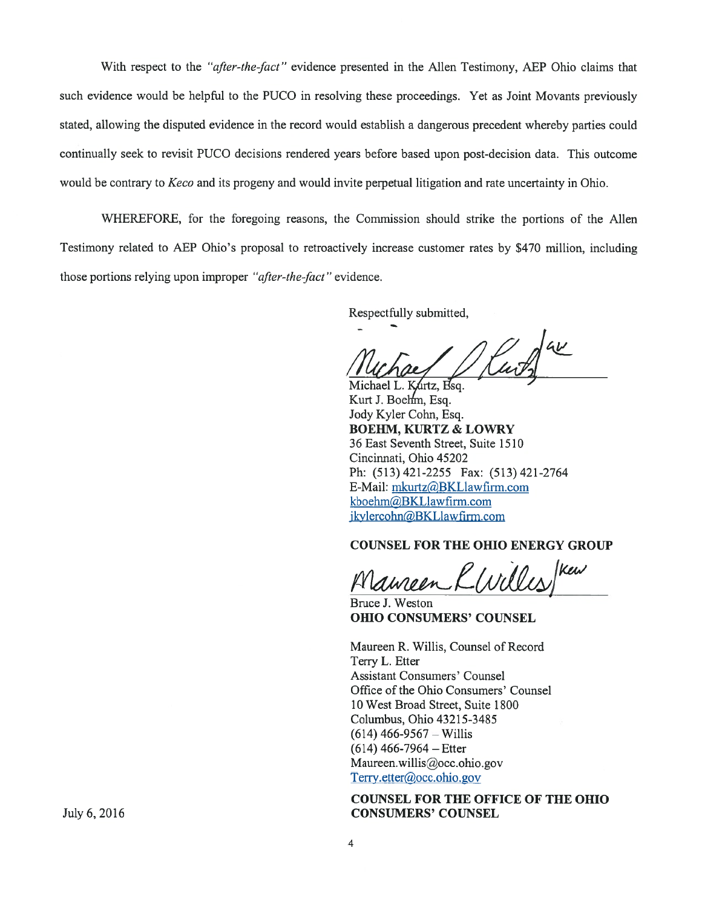With respect to the "*after-the-fact*" evidence presented in the Allen Testimony, AEP Ohio claims that such evidence would be helpful to the PUCO in resolving these proceedings. Yet as Joint Movants previously stated, allowing the disputed evidence in the record would establish <sup>a</sup> dangerous precedent whereby parties could continually seek to revisit PUCO decisions rendered years before based upon post-decision data. This outcome would be contrary to *Keco* and its progeny and would invite perpetual litigation and rate uncertainty in Ohio.

WHEREFORE, for the foregoing reasons, the Commission should strike the portions of the Allen Testimony related to AEP Ohio's proposal to retroactively increase customer rates by \$470 million, including those portions relying upon improper "after-the-fact" evidence.

Respectfully submitted,

Michael L. Kurtz, Esq. Kurt J. Boehm, Esq. Jody Kyler Cohn, Esq. BOEHM, KURTZ & LOWRY 36 East Seventh Street, Suite 1510 Cincinnati, Ohio 45202 Ph: (513)421-2255 Fax: (513)421-2764 E-Mail: mkurtz@BKLlawfirm.com kboehm(4BKLlawfirm.com ikylercohn@BKLlawfirm.com

## COUNSEL FOR THE OHIO ENERGY GROUP

Mameen KWilles/Kew

Bruce J. Weston OHIO CONSUMERS' COUNSEL

Maureen R. Willis, Counsel of Record Terry L. Etter Assistant Consumers' Counsel Office of the Ohio Consumers' Counsel 10 West Broad Street, Suite 1800 Columbus, Ohio 43215-3485  $(614)$  466-9567 – Willis (614) 466-7964 — Etter Maureen.willis@occ.ohio.gov Terry.etter@occ.ohio.gov

### COUNSEL FOR THE OFFICE OF THE OHIO July 6, 2016 **CONSUMERS' COUNSEL**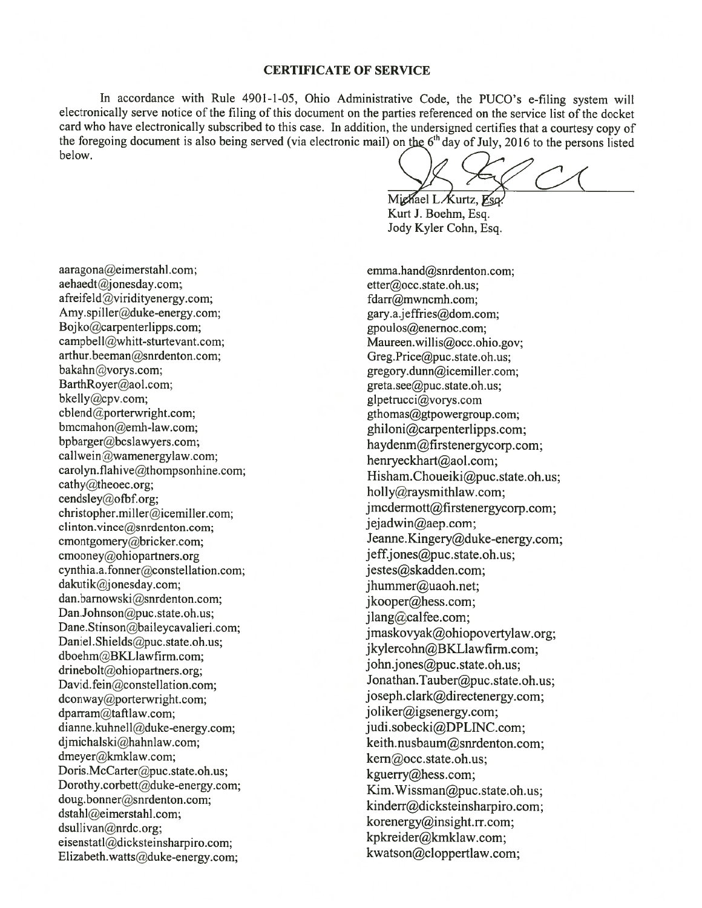#### CERTIFICATE OF SERVICE

In accordance with Rule 4901-1-05, Ohio Administrative Code, the PUCO's e-filing system will electronically serve notice of the filing of this document on the parties referenced on the service list of the docket card who have electronically subscribed to this case. In addition, the undersigned certifies that <sup>a</sup> courtesy copy of the foregoing document is also being served (via electronic mail) on the  $6<sup>th</sup>$  day of July, 2016 to the persons listed below.

Michael L Kurtz, Esq. Kurt J. Boehm, Esq. Jody Kyler Cohn, Esq.

aaragona@eimerstahl.com; emma.hand@snrdenton.com; aehaedt@jonesday.com; etter@occ.state.oh.us; afreifeld@viridityenergy.com; fdarr@mwncmh.com; Amy.spiller@duke-energy.com; gary.a.jeffries@dom.com; Bojko@carpenterlipps.com; example and provide the exposure of the exponent of the exponent of the exponent of the exponent of the exponent of the exponent of the exponent of the exponent of the exponent of the exponent of campbell@whitt-sturtevant.com;<br>
arthur.beeman@snrdenton.com;<br>
Greg.Price@puc.state.oh.us: arthur.beeman@snrdenton.com; Greg.Price@puc.state.oh.us; bakahn@vorys.com; gregory.dunn@icemiller.com bakahn@vorys.com; gregory.dunn@icemiller.com; gregory.dunn@icemiller.com; gregory.dunnicemiller.com; greta.see@puc.state.oh.us: BarthRoyer@aol.com; greta.see@puc.state.oh.us; bkelly@cpv.com; gluestate.oh.us; gluestruccial vorvs.com bkelly@cpv.com;<br>cblend@porterwright.com;<br>glpetrucci@vorys.com<br>glpetruccide="sethomas@gtpowergrou bmcmahon@emh-law.com;<br>bpbarger@bcslawyers.com;<br>havdenm@firstenergy.com; din stopher.miller@icemiller.com;<br>christopher.miller@icemiller.com;<br>clinton vince@spreenton.com;<br>clinton vince@spreenton.com;<br>clinton vince@spreenton.com; clinton.vince@snrdenton.com; cmontgomery@bricker.com; Jeanne.Kingery@duke-energy.com; cmooney@ohiopartners.org jeff.jones@puc.state.oh.us; cynthia.a.fonner@constellation.com; jestes@skadden.com; dakutik@jonesday.com; ihummer@uaoh.net: dakutik@jonesday.com;<br>dan.barnowski@snrdenton.com;<br>ikooner@hess.com;<br>ikooner@hess.com; dan.barnowski@snrdenton.com;<br>
Dan.Johnson@puc.state.oh.us;<br>
Dane.Stinson@baileycavalieri.com;<br>
Daniel.Shields@puc.state.oh.us;<br>
dboehm@BKLlawfirm.com;<br>
drinebolt@ohiopartners.org;<br>
divideological computers.org;<br>
divideolog David.fein@constellation.com; Jonathan.Tauber@puc.state.oh.us; dconway@porterwright.com; joseph.clark@directenergy.com; dparram@taftlaw.com; joliker@igsenergy.com;<br>dianne.kuhnell@duke-energy.com; judi.sobecki@DPLINC.com; dianne.kuhnell@duke-energy.com; djmichalski@hahnlaw.com;<br>dmeyer@kmklaw.com; keith.nusbaum@snrdenton.com;<br>kern@occ.state.oh.us; dmeyer@kmklaw.com;<br>Doris.McCarter@puc.state.oh.us;<br>  $\frac{1}{2}$  kem@occ.state.oh.us;<br>  $\frac{1}{2}$  kemerry@bess.com; Doris.McCarter@puc.state.oh.us;<br>Dorothy.corbett@duke-energy.com;<br>doug.bonner@snrdenton.com;<br>dstahl@eimerstahl.com;<br>dstahl@eimerstahl.com;<br>dsullivan@nrdc.org;<br>dsullivan@nrdc.org; eisenstatl@dicksteinsharpiro.com;<br>
Elizabeth watts@duke.energy.com;<br>
Kwatson@cloppertlaw.com;<br>
kwatson@cloppertlaw.com; Elizabeth.watts@duke-energy.com;

gthomas@gtpowergroup.com; bpbarger@bcslawyers.com;<br>
callwein@wamenergylaw.com;<br>
carolyn.flahive@thompsonhine.com;<br>
carolyn.flahive@thompsonhine.com;<br>
cathy@theoec.org;<br>
cendsley@ofbf.org;<br>
cendsley@ofbf.org;<br>
holly@raysmithlaw.com;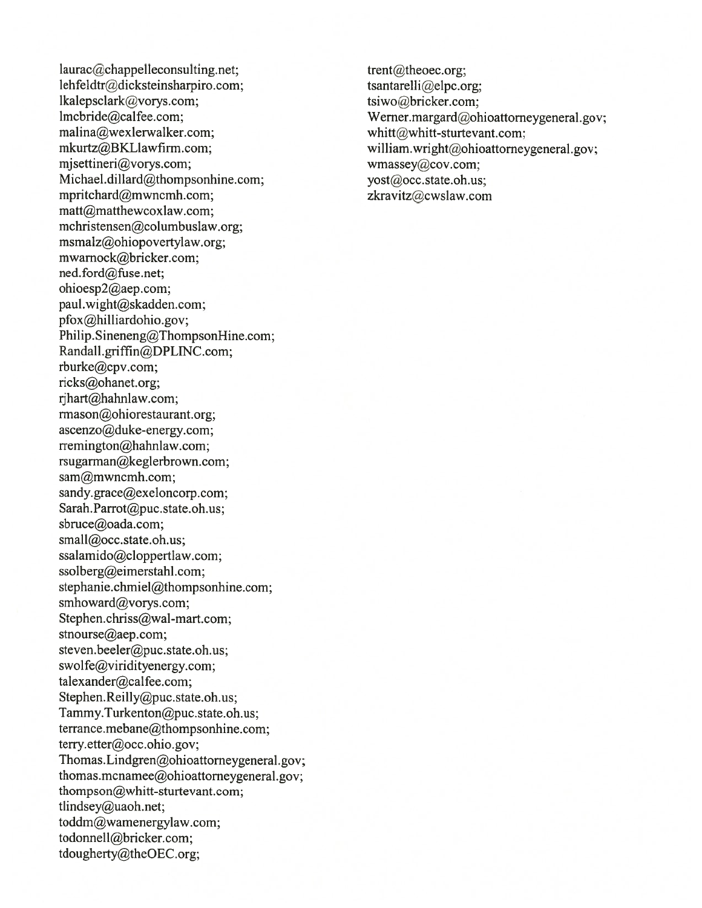laurac@chappelleconsulting.net; trent@theoec.org; lehfeldtr@dicksteinsharpiro.com; tsantarelli@elpc.org;  $1$ kalepsclark@vorys.com; tsiwo@bricker.com; tsiwo@bricker.com; tsiwo@bricker.com; tsiwo@bricker.com; tsiwo@bricker.com; tsiwo@bricker.com; tsiwo@bricker.com; tsiwo@bricker.com; tsiwo@bricker.com; tsiwo@bricker.com; tsiwo@ lmcbride@calfee.com; Werner.margard@ohioattorneygeneral.gov;<br>malina@wexlerwalker.com; whitt@whitt-sturtevant.com; malina@wexlerwalker.com;<br>mkurtz@BKLlawfirm.com;<br>william.wright@ohioattorney mjsettineri@vorys.com; wmassey@cov.com; Michael.dillard@thompsonhine.com; yost@occ.state.oh.us; mpritchard@mwncmh.com; zkravitz@cwslaw.com matt@matthewcoxlaw.com; mchristensen@co1umbus1aw.org; msmalz@ohiopovertylaw.org; mwamock@bricker.com; ned.ford@fuse.net; ohioesp2@aep.com; paul.wight@skadden.com; pfox@hilliardohio.gov; Philip. Sineneng@ThompsonHine.com; Randall.griffin@DPLINC.com; rburke@cpv.com; ricks@ohanet.org; rihart@hahnlaw.com; rmason@ohiorestaurant.org; ascenzo@duke-energy.com; rremington@hahnlaw.com; rsugarman@keglerbrown.com; sam@mwncmh.com; sandy.grace@exeloncorp.com; Sarah.Parrot@puc.state.oh.us; sbruce@oada.com; small@occ.state.oh.us; ssalarnido@cloppertlaw.com; ssolberg@eimerstahl.com; stephanie.chmiel@thompsonhine.com; smhoward@vorys.com; Stephen.chriss@wal-mart.com; stnourse@aep.com; steven.beeler@puc.state.oh.us; swolfe@viridityenergy.com; talexander@calfee.com; Stephen.Reilly@puc.state.oh.us; Tammy.Turkenton@puc.state.oh.us; terrance.mebane@thompsonhine.com; terry.etter@occ.ohio.gov; Thomas.Lindgren@ohioattomeygeneral.gov; thomas.mcnamee@ohioattomeygeneral.gov; thompson@whitt-sturtevant.com; tlindsey@uaoh.net; toddm@wamenergylaw.com; todonnell@bricker.com; tdougherty@theOEC.org:

william.wright@ohioattorneygeneral.gov;